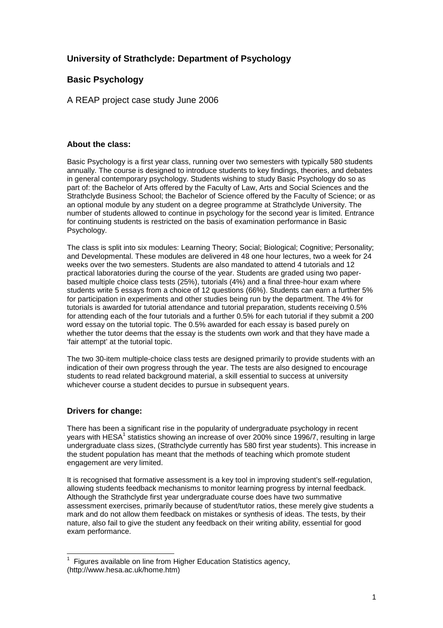# **University of Strathclyde: Department of Psychology**

## **Basic Psychology**

A REAP project case study June 2006

### **About the class:**

Basic Psychology is a first year class, running over two semesters with typically 580 students annually. The course is designed to introduce students to key findings, theories, and debates in general contemporary psychology. Students wishing to study Basic Psychology do so as part of: the Bachelor of Arts offered by the Faculty of Law, Arts and Social Sciences and the Strathclyde Business School; the Bachelor of Science offered by the Faculty of Science; or as an optional module by any student on a degree programme at Strathclyde University. The number of students allowed to continue in psychology for the second year is limited. Entrance for continuing students is restricted on the basis of examination performance in Basic Psychology.

The class is split into six modules: Learning Theory; Social; Biological; Cognitive; Personality; and Developmental. These modules are delivered in 48 one hour lectures, two a week for 24 weeks over the two semesters. Students are also mandated to attend 4 tutorials and 12 practical laboratories during the course of the year. Students are graded using two paperbased multiple choice class tests (25%), tutorials (4%) and a final three-hour exam where students write 5 essays from a choice of 12 questions (66%). Students can earn a further 5% for participation in experiments and other studies being run by the department. The 4% for tutorials is awarded for tutorial attendance and tutorial preparation, students receiving 0.5% for attending each of the four tutorials and a further 0.5% for each tutorial if they submit a 200 word essay on the tutorial topic. The 0.5% awarded for each essay is based purely on whether the tutor deems that the essay is the students own work and that they have made a 'fair attempt' at the tutorial topic.

The two 30-item multiple-choice class tests are designed primarily to provide students with an indication of their own progress through the year. The tests are also designed to encourage students to read related background material, a skill essential to success at university whichever course a student decides to pursue in subsequent years.

### **Drivers for change:**

There has been a significant rise in the popularity of undergraduate psychology in recent years with HESA<sup>1</sup> statistics showing an increase of over 200% since 1996/7, resulting in large undergraduate class sizes, (Strathclyde currently has 580 first year students). This increase in the student population has meant that the methods of teaching which promote student engagement are very limited.

It is recognised that formative assessment is a key tool in improving student's self-regulation, allowing students feedback mechanisms to monitor learning progress by internal feedback. Although the Strathclyde first year undergraduate course does have two summative assessment exercises, primarily because of student/tutor ratios, these merely give students a mark and do not allow them feedback on mistakes or synthesis of ideas. The tests, by their nature, also fail to give the student any feedback on their writing ability, essential for good exam performance.

 $\overline{\phantom{a}}$ 1 Figures available on line from Higher Education Statistics agency, (http://www.hesa.ac.uk/home.htm)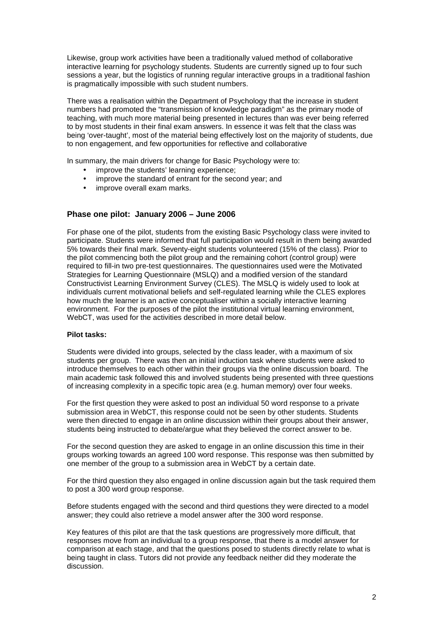Likewise, group work activities have been a traditionally valued method of collaborative interactive learning for psychology students. Students are currently signed up to four such sessions a year, but the logistics of running regular interactive groups in a traditional fashion is pragmatically impossible with such student numbers.

There was a realisation within the Department of Psychology that the increase in student numbers had promoted the "transmission of knowledge paradigm" as the primary mode of teaching, with much more material being presented in lectures than was ever being referred to by most students in their final exam answers. In essence it was felt that the class was being 'over-taught', most of the material being effectively lost on the majority of students, due to non engagement, and few opportunities for reflective and collaborative

In summary, the main drivers for change for Basic Psychology were to:

- improve the students' learning experience;
- improve the standard of entrant for the second year; and
- improve overall exam marks.

#### **Phase one pilot: January 2006 – June 2006**

For phase one of the pilot, students from the existing Basic Psychology class were invited to participate. Students were informed that full participation would result in them being awarded 5% towards their final mark. Seventy-eight students volunteered (15% of the class). Prior to the pilot commencing both the pilot group and the remaining cohort (control group) were required to fill-in two pre-test questionnaires. The questionnaires used were the Motivated Strategies for Learning Questionnaire (MSLQ) and a modified version of the standard Constructivist Learning Environment Survey (CLES). The MSLQ is widely used to look at individuals current motivational beliefs and self-regulated learning while the CLES explores how much the learner is an active conceptualiser within a socially interactive learning environment. For the purposes of the pilot the institutional virtual learning environment, WebCT, was used for the activities described in more detail below.

#### **Pilot tasks:**

Students were divided into groups, selected by the class leader, with a maximum of six students per group. There was then an initial induction task where students were asked to introduce themselves to each other within their groups via the online discussion board. The main academic task followed this and involved students being presented with three questions of increasing complexity in a specific topic area (e.g. human memory) over four weeks.

For the first question they were asked to post an individual 50 word response to a private submission area in WebCT, this response could not be seen by other students. Students were then directed to engage in an online discussion within their groups about their answer, students being instructed to debate/argue what they believed the correct answer to be.

For the second question they are asked to engage in an online discussion this time in their groups working towards an agreed 100 word response. This response was then submitted by one member of the group to a submission area in WebCT by a certain date.

For the third question they also engaged in online discussion again but the task required them to post a 300 word group response.

Before students engaged with the second and third questions they were directed to a model answer; they could also retrieve a model answer after the 300 word response.

Key features of this pilot are that the task questions are progressively more difficult, that responses move from an individual to a group response, that there is a model answer for comparison at each stage, and that the questions posed to students directly relate to what is being taught in class. Tutors did not provide any feedback neither did they moderate the discussion.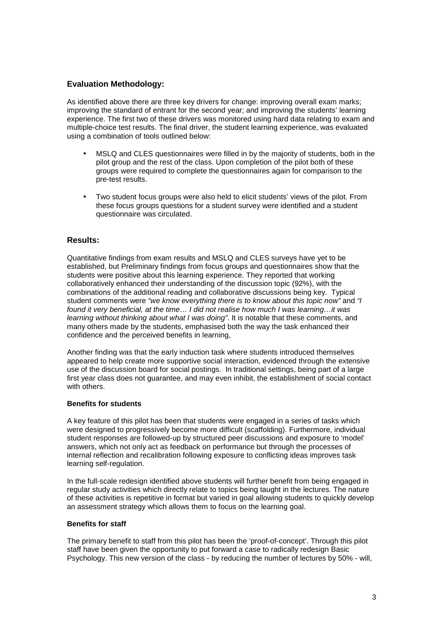#### **Evaluation Methodology:**

As identified above there are three key drivers for change: improving overall exam marks; improving the standard of entrant for the second year; and improving the students' learning experience. The first two of these drivers was monitored using hard data relating to exam and multiple-choice test results. The final driver, the student learning experience, was evaluated using a combination of tools outlined below:

- MSLQ and CLES questionnaires were filled in by the majority of students, both in the pilot group and the rest of the class. Upon completion of the pilot both of these groups were required to complete the questionnaires again for comparison to the pre-test results.
- Two student focus groups were also held to elicit students' views of the pilot. From these focus groups questions for a student survey were identified and a student questionnaire was circulated.

#### **Results:**

Quantitative findings from exam results and MSLQ and CLES surveys have yet to be established, but Preliminary findings from focus groups and questionnaires show that the students were positive about this learning experience. They reported that working collaboratively enhanced their understanding of the discussion topic (92%), with the combinations of the additional reading and collaborative discussions being key. Typical student comments were "we know everything there is to know about this topic now" and "I found it very beneficial, at the time… I did not realise how much I was learning…it was learning without thinking about what I was doing". It is notable that these comments, and many others made by the students, emphasised both the way the task enhanced their confidence and the perceived benefits in learning,

Another finding was that the early induction task where students introduced themselves appeared to help create more supportive social interaction, evidenced through the extensive use of the discussion board for social postings. In traditional settings, being part of a large first year class does not guarantee, and may even inhibit, the establishment of social contact with others.

#### **Benefits for students**

A key feature of this pilot has been that students were engaged in a series of tasks which were designed to progressively become more difficult (scaffolding). Furthermore, individual student responses are followed-up by structured peer discussions and exposure to 'model' answers, which not only act as feedback on performance but through the processes of internal reflection and recalibration following exposure to conflicting ideas improves task learning self-regulation.

In the full-scale redesign identified above students will further benefit from being engaged in regular study activities which directly relate to topics being taught in the lectures. The nature of these activities is repetitive in format but varied in goal allowing students to quickly develop an assessment strategy which allows them to focus on the learning goal.

#### **Benefits for staff**

The primary benefit to staff from this pilot has been the 'proof-of-concept'. Through this pilot staff have been given the opportunity to put forward a case to radically redesign Basic Psychology. This new version of the class - by reducing the number of lectures by 50% - will,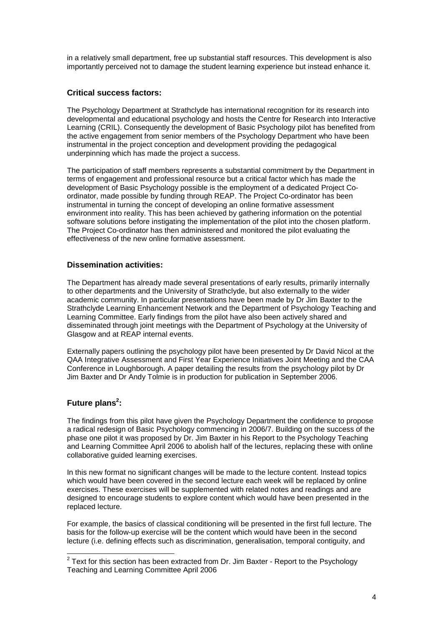in a relatively small department, free up substantial staff resources. This development is also importantly perceived not to damage the student learning experience but instead enhance it.

## **Critical success factors:**

The Psychology Department at Strathclyde has international recognition for its research into developmental and educational psychology and hosts the Centre for Research into Interactive Learning (CRIL). Consequently the development of Basic Psychology pilot has benefited from the active engagement from senior members of the Psychology Department who have been instrumental in the project conception and development providing the pedagogical underpinning which has made the project a success.

The participation of staff members represents a substantial commitment by the Department in terms of engagement and professional resource but a critical factor which has made the development of Basic Psychology possible is the employment of a dedicated Project Coordinator, made possible by funding through REAP. The Project Co-ordinator has been instrumental in turning the concept of developing an online formative assessment environment into reality. This has been achieved by gathering information on the potential software solutions before instigating the implementation of the pilot into the chosen platform. The Project Co-ordinator has then administered and monitored the pilot evaluating the effectiveness of the new online formative assessment.

### **Dissemination activities:**

The Department has already made several presentations of early results, primarily internally to other departments and the University of Strathclyde, but also externally to the wider academic community. In particular presentations have been made by Dr Jim Baxter to the Strathclyde Learning Enhancement Network and the Department of Psychology Teaching and Learning Committee. Early findings from the pilot have also been actively shared and disseminated through joint meetings with the Department of Psychology at the University of Glasgow and at REAP internal events.

Externally papers outlining the psychology pilot have been presented by Dr David Nicol at the QAA Integrative Assessment and First Year Experience Initiatives Joint Meeting and the CAA Conference in Loughborough. A paper detailing the results from the psychology pilot by Dr Jim Baxter and Dr Andy Tolmie is in production for publication in September 2006.

## **Future plans<sup>2</sup> :**

The findings from this pilot have given the Psychology Department the confidence to propose a radical redesign of Basic Psychology commencing in 2006/7. Building on the success of the phase one pilot it was proposed by Dr. Jim Baxter in his Report to the Psychology Teaching and Learning Committee April 2006 to abolish half of the lectures, replacing these with online collaborative guided learning exercises.

In this new format no significant changes will be made to the lecture content. Instead topics which would have been covered in the second lecture each week will be replaced by online exercises. These exercises will be supplemented with related notes and readings and are designed to encourage students to explore content which would have been presented in the replaced lecture.

For example, the basics of classical conditioning will be presented in the first full lecture. The basis for the follow-up exercise will be the content which would have been in the second lecture (i.e. defining effects such as discrimination, generalisation, temporal contiguity, and

<sup>&</sup>lt;u>2</u><br><sup>2</sup> Text for this section has been extracted from Dr. Jim Baxter - Report to the Psychology Teaching and Learning Committee April 2006